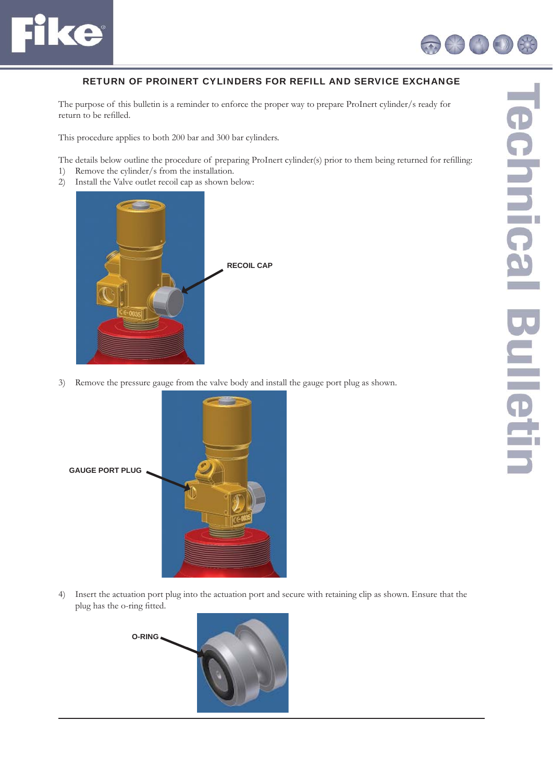



## RETURN OF PROINERT CYLINDERS FOR REFILL AND SERVICE EXCHANGE

The purpose of this bulletin is a reminder to enforce the proper way to prepare ProInert cylinder/s ready for return to be refilled.

This procedure applies to both 200 bar and 300 bar cylinders.

The details below outline the procedure of preparing ProInert cylinder(s) prior to them being returned for refilling:

- 1) Remove the cylinder/s from the installation.
- 2) Install the Valve outlet recoil cap as shown below:



3) Remove the pressure gauge from the valve body and install the gauge port plug as shown.



4) Insert the actuation port plug into the actuation port and secure with retaining clip as shown. Ensure that the plug has the o-ring fitted.